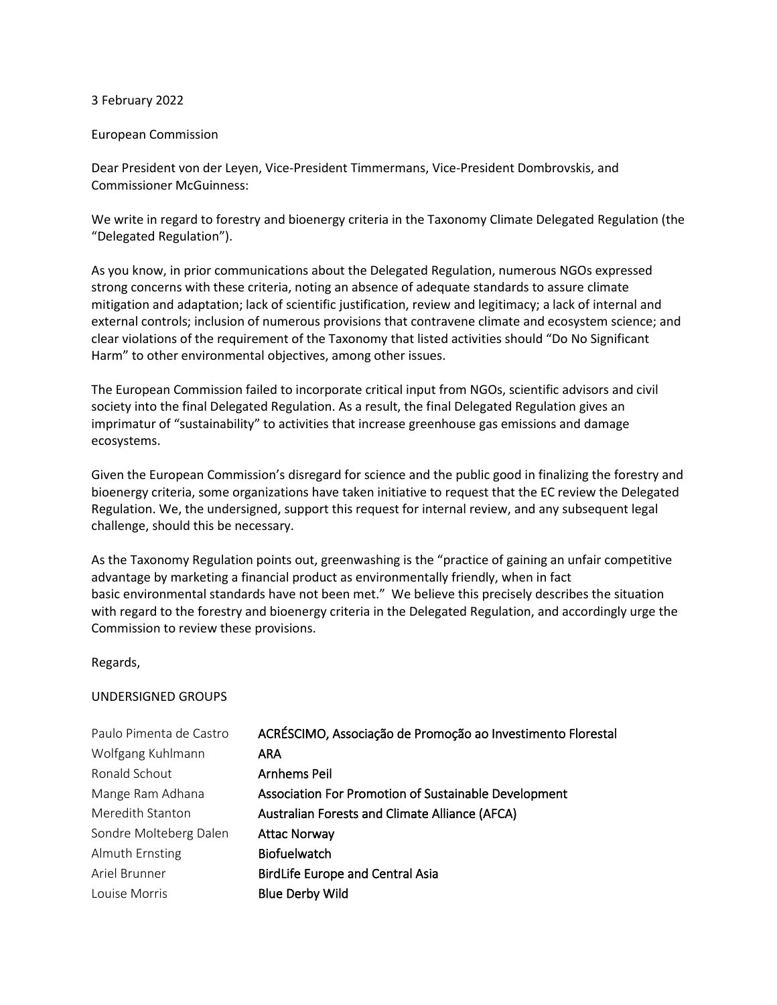## 3 February 2022

## European Commission

Dear President von der Leyen, Vice-President Timmermans, Vice-President Dombrovskis, and Commissioner McGuinness:

We write in regard to forestry and bioenergy criteria in the Taxonomy Climate Delegated Regulation (the "Delegated Regulation").

As you know, in prior communications about the Delegated Regulation, numerous NGOs expressed strong concerns with these criteria, noting an absence of adequate standards to assure climate mitigation and adaptation; lack of scientific justification, review and legitimacy; a lack of internal and external controls; inclusion of numerous provisions that contravene climate and ecosystem science; and clear violations of the requirement of the Taxonomy that listed activities should "Do No Significant Harm" to other environmental objectives, among other issues.

The European Commission failed to incorporate critical input from NGOs, scientific advisors and civil society into the final Delegated Regulation. As a result, the final Delegated Regulation gives an imprimatur of "sustainability" to activities that increase greenhouse gas emissions and damage ecosystems.

Given the European Commission's disregard for science and the public good in finalizing the forestry and bioenergy criteria, some organizations have taken initiative to request that the EC review the Delegated Regulation. We, the undersigned, support this request for internal review, and any subsequent legal challenge, should this be necessary.

As the Taxonomy Regulation points out, greenwashing is the "practice of gaining an unfair competitive advantage by marketing a financial product as environmentally friendly, when in fact basic environmental standards have not been met." We believe this precisely describes the situation with regard to the forestry and bioenergy criteria in the Delegated Regulation, and accordingly urge the Commission to review these provisions.

## Regards,

## UNDERSIGNED GROUPS

| Paulo Pimenta de Castro | ACRÉSCIMO, Associação de Promoção ao Investimento Florestal |
|-------------------------|-------------------------------------------------------------|
| Wolfgang Kuhlmann       | <b>ARA</b>                                                  |
| Ronald Schout           | Arnhems Peil                                                |
| Mange Ram Adhana        | Association For Promotion of Sustainable Development        |
| Meredith Stanton        | <b>Australian Forests and Climate Alliance (AFCA)</b>       |
| Sondre Molteberg Dalen  | <b>Attac Norway</b>                                         |
| Almuth Ernsting         | <b>Biofuelwatch</b>                                         |
| Ariel Brunner           | <b>BirdLife Europe and Central Asia</b>                     |
| Louise Morris           | <b>Blue Derby Wild</b>                                      |